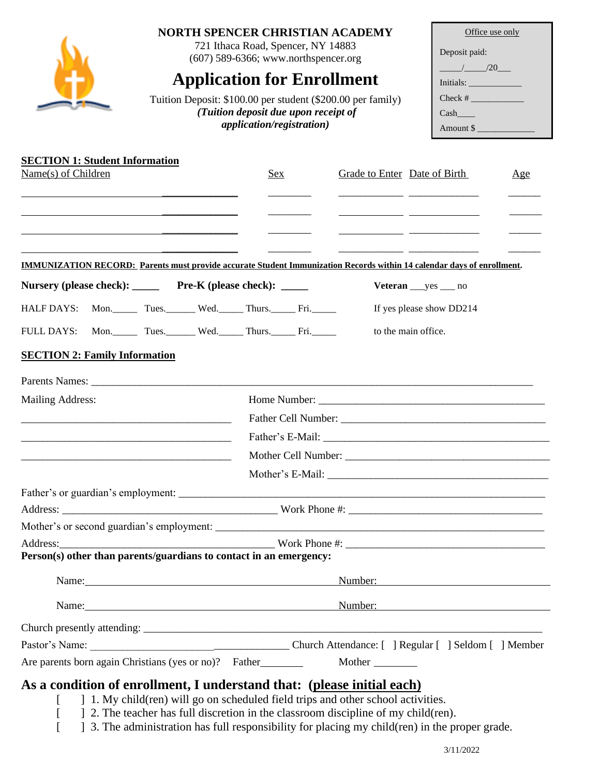#### **NORTH SPENCER CHRISTIAN ACADEMY**

721 Ithaca Road, Spencer, NY 14883 (607) 589-6366; www.northspencer.org

# **Application for Enrollment**

Tuition Deposit: \$100.00 per student (\$200.00 per family) *(Tuition deposit due upon receipt of application/registration)*

| Office use only |  |  |  |  |
|-----------------|--|--|--|--|
| Deposit paid:   |  |  |  |  |
| $\frac{1}{20}$  |  |  |  |  |
| Initials:       |  |  |  |  |
|                 |  |  |  |  |
| Cash            |  |  |  |  |
| Amount \$       |  |  |  |  |

| <b>SECTION 1: Student Information</b>                                                                                         |  |                             |         |                                    |     |
|-------------------------------------------------------------------------------------------------------------------------------|--|-----------------------------|---------|------------------------------------|-----|
| Name(s) of Children                                                                                                           |  | Sex                         |         | Grade to Enter Date of Birth       | Age |
|                                                                                                                               |  |                             |         |                                    |     |
|                                                                                                                               |  |                             |         |                                    |     |
|                                                                                                                               |  |                             |         |                                    |     |
| <b>IMMUNIZATION RECORD:</b> Parents must provide accurate Student Immunization Records within 14 calendar days of enrollment. |  |                             |         |                                    |     |
| Nursery (please check): Pre-K (please check): ____                                                                            |  |                             |         | $Veteran \_\text{yes} \_\text{no}$ |     |
| HALF DAYS: Mon. Tues. Wed. Thurs. Fri.                                                                                        |  |                             |         | If yes please show DD214           |     |
| <b>FULL DAYS:</b>                                                                                                             |  | Mon. Tues. Wed. Thurs. Fri. |         | to the main office.                |     |
| <b>SECTION 2: Family Information</b>                                                                                          |  |                             |         |                                    |     |
|                                                                                                                               |  |                             |         |                                    |     |
| Mailing Address:                                                                                                              |  |                             |         |                                    |     |
|                                                                                                                               |  |                             |         |                                    |     |
|                                                                                                                               |  |                             |         |                                    |     |
| <u> 2000 - Jan James James James James James James James James James James James James James James James James J</u>          |  |                             |         |                                    |     |
|                                                                                                                               |  |                             |         |                                    |     |
|                                                                                                                               |  |                             |         |                                    |     |
|                                                                                                                               |  |                             |         |                                    |     |
|                                                                                                                               |  |                             |         |                                    |     |
|                                                                                                                               |  |                             |         |                                    |     |
| Person(s) other than parents/guardians to contact in an emergency:                                                            |  |                             |         |                                    |     |
|                                                                                                                               |  |                             | Number: |                                    |     |
|                                                                                                                               |  | Number:                     |         |                                    |     |
|                                                                                                                               |  |                             |         |                                    |     |
|                                                                                                                               |  |                             |         |                                    |     |
| Are parents born again Christians (yes or no)? Father                                                                         |  |                             | Mother  |                                    |     |

## **As a condition of enrollment, I understand that: (please initial each)**

- [ ] 1. My child(ren) will go on scheduled field trips and other school activities.
- [ ] 2. The teacher has full discretion in the classroom discipline of my child(ren).
- [ ] 3. The administration has full responsibility for placing my child(ren) in the proper grade.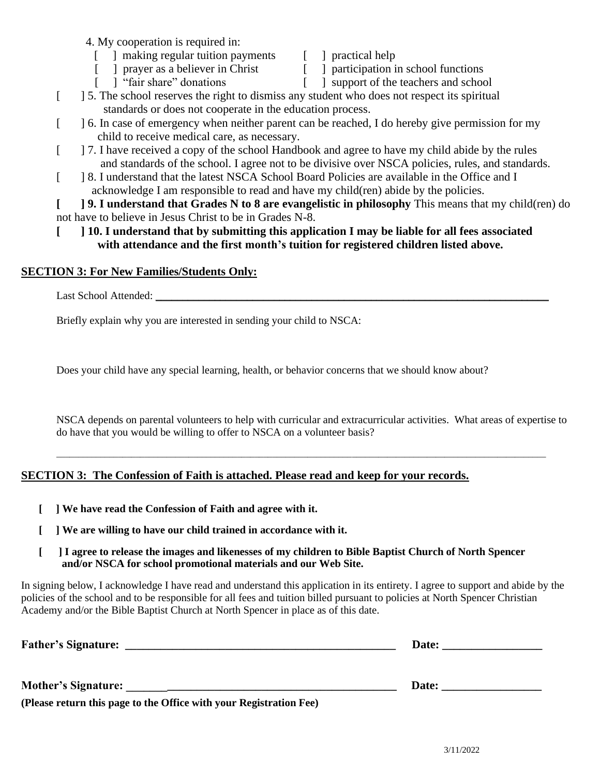- 4. My cooperation is required in:
	- [ ] making regular tuition payments [ ] practical help
	-
- 
- [ ] prayer as a believer in Christ [ ] participation in school functions [ ] "fair share" donations [ ] support of the teachers and school
	-
- $\lceil \quad \rceil$  support of the teachers and school
- [ ] 5. The school reserves the right to dismiss any student who does not respect its spiritual standards or does not cooperate in the education process.
- [  $\Box$ ] 6. In case of emergency when neither parent can be reached, I do hereby give permission for my child to receive medical care, as necessary.
- [ ] 7. I have received a copy of the school Handbook and agree to have my child abide by the rules and standards of the school. I agree not to be divisive over NSCA policies, rules, and standards.
- [ ] 8. I understand that the latest NSCA School Board Policies are available in the Office and I acknowledge I am responsible to read and have my child(ren) abide by the policies.

**[ ] 9. I understand that Grades N to 8 are evangelistic in philosophy** This means that my child(ren) do not have to believe in Jesus Christ to be in Grades N-8.

 **[ ] 10. I understand that by submitting this application I may be liable for all fees associated with attendance and the first month's tuition for registered children listed above.**

#### **SECTION 3: For New Families/Students Only:**

Last School Attended: \_\_\_\_\_\_\_\_\_\_\_\_\_\_\_\_\_\_\_\_\_\_\_\_\_\_\_\_\_\_\_\_\_\_\_\_\_\_\_\_\_\_\_\_\_\_\_\_\_\_\_\_\_\_\_\_\_\_\_\_\_\_\_\_\_\_\_\_\_\_\_\_\_

Briefly explain why you are interested in sending your child to NSCA:

Does your child have any special learning, health, or behavior concerns that we should know about?

NSCA depends on parental volunteers to help with curricular and extracurricular activities. What areas of expertise to do have that you would be willing to offer to NSCA on a volunteer basis?

\_\_\_\_\_\_\_\_\_\_\_\_\_\_\_\_\_\_\_\_\_\_\_\_\_\_\_\_\_\_\_\_\_\_\_\_\_\_\_\_\_\_\_\_\_\_\_\_\_\_\_\_\_\_\_\_\_\_\_\_\_\_\_\_\_\_\_\_\_\_\_\_\_\_\_\_\_\_\_\_\_\_\_\_\_\_\_\_\_\_\_\_\_\_\_\_\_\_\_\_\_\_\_\_\_\_\_\_\_\_\_

#### **SECTION 3: The Confession of Faith is attached. Please read and keep for your records.**

- **[ ] We have read the Confession of Faith and agree with it.**
- **[ ] We are willing to have our child trained in accordance with it.**
- **[ ] I agree to release the images and likenesses of my children to Bible Baptist Church of North Spencer and/or NSCA for school promotional materials and our Web Site.**

In signing below, I acknowledge I have read and understand this application in its entirety. I agree to support and abide by the policies of the school and to be responsible for all fees and tuition billed pursuant to policies at North Spencer Christian Academy and/or the Bible Baptist Church at North Spencer in place as of this date.

| <b>Father's Signature:</b> | Date: |
|----------------------------|-------|
| <b>Mother's Signature:</b> | Date: |

**(Please return this page to the Office with your Registration Fee)**